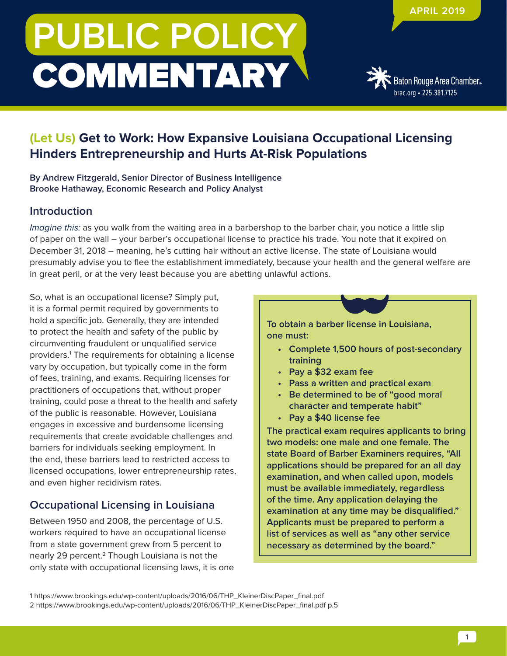# **PUBLIC POLICY COMMENTARY**



## **(Let Us) Get to Work: How Expansive Louisiana Occupational Licensing Hinders Entrepreneurship and Hurts At-Risk Populations**

**By Andrew Fitzgerald, Senior Director of Business Intelligence Brooke Hathaway, Economic Research and Policy Analyst**

#### **Introduction**

Imagine this: as you walk from the waiting area in a barbershop to the barber chair, you notice a little slip of paper on the wall – your barber's occupational license to practice his trade. You note that it expired on December 31, 2018 – meaning, he's cutting hair without an active license. The state of Louisiana would presumably advise you to flee the establishment immediately, because your health and the general welfare are in great peril, or at the very least because you are abetting unlawful actions.

So, what is an occupational license? Simply put, it is a formal permit required by governments to hold a specific job. Generally, they are intended to protect the health and safety of the public by circumventing fraudulent or unqualified service providers.1 The requirements for obtaining a license vary by occupation, but typically come in the form of fees, training, and exams. Requiring licenses for practitioners of occupations that, without proper training, could pose a threat to the health and safety of the public is reasonable. However, Louisiana engages in excessive and burdensome licensing requirements that create avoidable challenges and barriers for individuals seeking employment. In the end, these barriers lead to restricted access to licensed occupations, lower entrepreneurship rates, and even higher recidivism rates.

### **Occupational Licensing in Louisiana**

Between 1950 and 2008, the percentage of U.S. workers required to have an occupational license from a state government grew from 5 percent to nearly 29 percent.2 Though Louisiana is not the only state with occupational licensing laws, it is one **To obtain a barber license in Louisiana, one must:**

- **• Complete 1,500 hours of post-secondary training**
- **• Pay a \$32 exam fee**
- **• Pass a written and practical exam**
- **• Be determined to be of "good moral character and temperate habit"**
- **• Pay a \$40 license fee**

**The practical exam requires applicants to bring two models: one male and one female. The state Board of Barber Examiners requires, "All applications should be prepared for an all day examination, and when called upon, models must be available immediately, regardless of the time. Any application delaying the examination at any time may be disqualified." Applicants must be prepared to perform a list of services as well as "any other service necessary as determined by the board."**

1 https://www.brookings.edu/wp-content/uploads/2016/06/THP\_KleinerDiscPaper\_final.pdf 2 https://www.brookings.edu/wp-content/uploads/2016/06/THP\_KleinerDiscPaper\_final.pdf p.5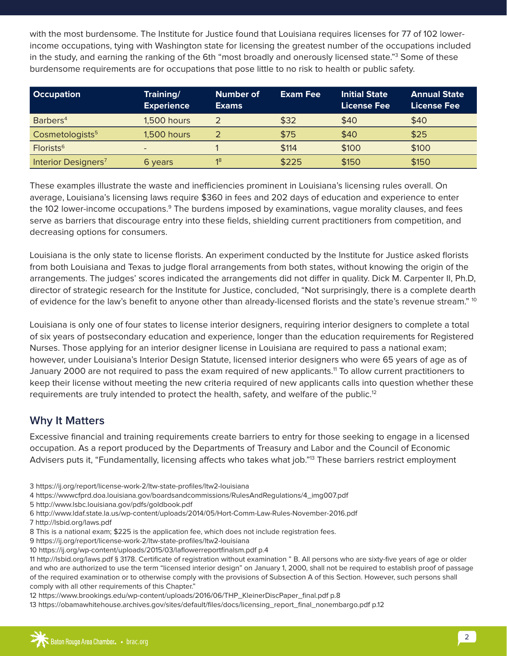with the most burdensome. The Institute for Justice found that Louisiana requires licenses for 77 of 102 lowerincome occupations, tying with Washington state for licensing the greatest number of the occupations included in the study, and earning the ranking of the 6th "most broadly and onerously licensed state."3 Some of these burdensome requirements are for occupations that pose little to no risk to health or public safety.

| <b>Occupation</b>               | Training/<br><b>Experience</b> | <b>Number of</b><br><b>Exams</b> | <b>Exam Fee</b> | <b>Initial State</b><br><b>License Fee</b> | <b>Annual State</b><br>License Fee |
|---------------------------------|--------------------------------|----------------------------------|-----------------|--------------------------------------------|------------------------------------|
| Barbers <sup>4</sup>            | 1,500 hours                    |                                  | \$32            | \$40                                       | \$40                               |
| Cosmetologists <sup>5</sup>     | <b>1,500 hours</b>             |                                  | \$75            | \$40                                       | \$25                               |
| Florists <sup>6</sup>           | $\overline{\phantom{a}}$       |                                  | \$114           | \$100                                      | \$100                              |
| Interior Designers <sup>7</sup> | 6 years                        | 18                               | \$225           | \$150                                      | \$150                              |

These examples illustrate the waste and inefficiencies prominent in Louisiana's licensing rules overall. On average, Louisiana's licensing laws require \$360 in fees and 202 days of education and experience to enter the 102 lower-income occupations.<sup>9</sup> The burdens imposed by examinations, vague morality clauses, and fees serve as barriers that discourage entry into these fields, shielding current practitioners from competition, and decreasing options for consumers.

Louisiana is the only state to license florists. An experiment conducted by the Institute for Justice asked florists from both Louisiana and Texas to judge floral arrangements from both states, without knowing the origin of the arrangements. The judges' scores indicated the arrangements did not differ in quality. Dick M. Carpenter II, Ph.D, director of strategic research for the Institute for Justice, concluded, "Not surprisingly, there is a complete dearth of evidence for the law's benefit to anyone other than already-licensed florists and the state's revenue stream." <sup>10</sup>

Louisiana is only one of four states to license interior designers, requiring interior designers to complete a total of six years of postsecondary education and experience, longer than the education requirements for Registered Nurses. Those applying for an interior designer license in Louisiana are required to pass a national exam; however, under Louisiana's Interior Design Statute, licensed interior designers who were 65 years of age as of January 2000 are not required to pass the exam required of new applicants.11 To allow current practitioners to keep their license without meeting the new criteria required of new applicants calls into question whether these requirements are truly intended to protect the health, safety, and welfare of the public.<sup>12</sup>

#### **Why It Matters**

Excessive financial and training requirements create barriers to entry for those seeking to engage in a licensed occupation. As a report produced by the Departments of Treasury and Labor and the Council of Economic Advisers puts it, "Fundamentally, licensing affects who takes what job."<sup>13</sup> These barriers restrict employment

- 3 https://ij.org/report/license-work-2/ltw-state-profiles/ltw2-louisiana
- 4 https://wwwcfprd.doa.louisiana.gov/boardsandcommissions/RulesAndRegulations/4\_img007.pdf
- 5 http://www.lsbc.louisiana.gov/pdfs/goldbook.pdf
- 6 http://www.ldaf.state.la.us/wp-content/uploads/2014/05/Hort-Comm-Law-Rules-November-2016.pdf
- 7 http://lsbid.org/laws.pdf
- 8 This is a national exam; \$225 is the application fee, which does not include registration fees.
- 9 https://ij.org/report/license-work-2/ltw-state-profiles/ltw2-louisiana
- 10 https://ij.org/wp-content/uploads/2015/03/laflowerreportfinalsm.pdf p.4
- 11 http://lsbid.org/laws.pdf § 3178. Certificate of registration without examination " B. All persons who are sixty-five years of age or older and who are authorized to use the term "licensed interior design" on January 1, 2000, shall not be required to establish proof of passage of the required examination or to otherwise comply with the provisions of Subsection A of this Section. However, such persons shall comply with all other requirements of this Chapter."

12 https://www.brookings.edu/wp-content/uploads/2016/06/THP\_KleinerDiscPaper\_final.pdf p.8

13 https://obamawhitehouse.archives.gov/sites/default/files/docs/licensing\_report\_final\_nonembargo.pdf p.12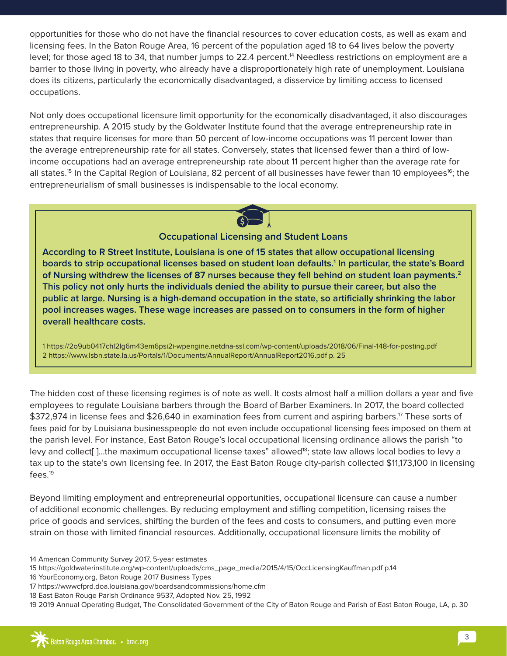opportunities for those who do not have the financial resources to cover education costs, as well as exam and licensing fees. In the Baton Rouge Area, 16 percent of the population aged 18 to 64 lives below the poverty level; for those aged 18 to 34, that number jumps to 22.4 percent.<sup>14</sup> Needless restrictions on employment are a barrier to those living in poverty, who already have a disproportionately high rate of unemployment. Louisiana does its citizens, particularly the economically disadvantaged, a disservice by limiting access to licensed occupations.

Not only does occupational licensure limit opportunity for the economically disadvantaged, it also discourages entrepreneurship. A 2015 study by the Goldwater Institute found that the average entrepreneurship rate in states that require licenses for more than 50 percent of low-income occupations was 11 percent lower than the average entrepreneurship rate for all states. Conversely, states that licensed fewer than a third of lowincome occupations had an average entrepreneurship rate about 11 percent higher than the average rate for all states.<sup>15</sup> In the Capital Region of Louisiana, 82 percent of all businesses have fewer than 10 employees<sup>16</sup>; the entrepreneurialism of small businesses is indispensable to the local economy.



#### **Occupational Licensing and Student Loans**

**According to R Street Institute, Louisiana is one of 15 states that allow occupational licensing boards to strip occupational licenses based on student loan defaults.1 In particular, the state's Board of Nursing withdrew the licenses of 87 nurses because they fell behind on student loan payments.2 This policy not only hurts the individuals denied the ability to pursue their career, but also the public at large. Nursing is a high-demand occupation in the state, so artificially shrinking the labor pool increases wages. These wage increases are passed on to consumers in the form of higher overall healthcare costs.**

1 https://2o9ub0417chl2lg6m43em6psi2i-wpengine.netdna-ssl.com/wp-content/uploads/2018/06/Final-148-for-posting.pdf 2 https://www.lsbn.state.la.us/Portals/1/Documents/AnnualReport/AnnualReport2016.pdf p. 25

The hidden cost of these licensing regimes is of note as well. It costs almost half a million dollars a year and five employees to regulate Louisiana barbers through the Board of Barber Examiners. In 2017, the board collected \$372,974 in license fees and \$26,640 in examination fees from current and aspiring barbers.<sup>17</sup> These sorts of fees paid for by Louisiana businesspeople do not even include occupational licensing fees imposed on them at the parish level. For instance, East Baton Rouge's local occupational licensing ordinance allows the parish "to levy and collect<sup>[</sup>]...the maximum occupational license taxes" allowed<sup>18</sup>; state law allows local bodies to levy a tax up to the state's own licensing fee. In 2017, the East Baton Rouge city-parish collected \$11,173,100 in licensing fees.19

Beyond limiting employment and entrepreneurial opportunities, occupational licensure can cause a number of additional economic challenges. By reducing employment and stifling competition, licensing raises the price of goods and services, shifting the burden of the fees and costs to consumers, and putting even more strain on those with limited financial resources. Additionally, occupational licensure limits the mobility of

<sup>14</sup> American Community Survey 2017, 5-year estimates

<sup>15</sup> https://goldwaterinstitute.org/wp-content/uploads/cms\_page\_media/2015/4/15/OccLicensingKauffman.pdf p.14

<sup>16</sup> YourEconomy.org, Baton Rouge 2017 Business Types

<sup>17</sup> https://wwwcfprd.doa.louisiana.gov/boardsandcommissions/home.cfm

<sup>18</sup> East Baton Rouge Parish Ordinance 9537, Adopted Nov. 25, 1992

<sup>19 2019</sup> Annual Operating Budget, The Consolidated Government of the City of Baton Rouge and Parish of East Baton Rouge, LA, p. 30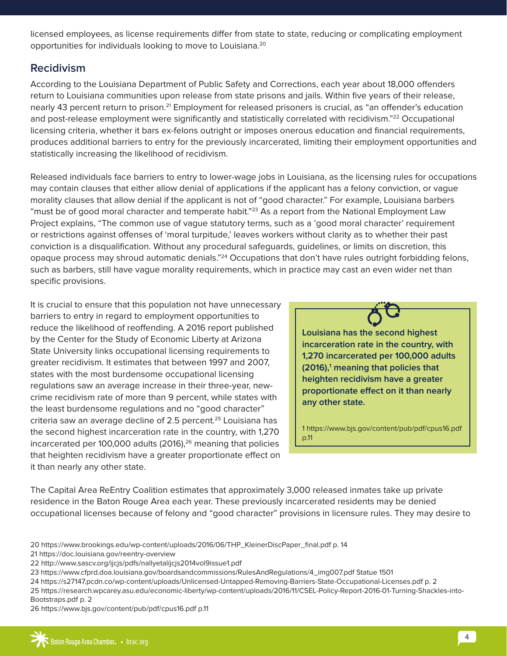licensed employees, as license requirements differ from state to state, reducing or complicating employment opportunities for individuals looking to move to Louisiana.<sup>20</sup>

#### **Recidivism**

According to the Louisiana Department of Public Safety and Corrections, each year about 18,000 offenders return to Louisiana communities upon release from state prisons and jails. Within five years of their release, nearly 43 percent return to prison.<sup>21</sup> Employment for released prisoners is crucial, as "an offender's education and post-release employment were significantly and statistically correlated with recidivism."<sup>22</sup> Occupational licensing criteria, whether it bars ex-felons outright or imposes onerous education and financial requirements, produces additional barriers to entry for the previously incarcerated, limiting their employment opportunities and statistically increasing the likelihood of recidivism.

Released individuals face barriers to entry to lower-wage jobs in Louisiana, as the licensing rules for occupations may contain clauses that either allow denial of applications if the applicant has a felony conviction, or vague morality clauses that allow denial if the applicant is not of "good character." For example, Louisiana barbers "must be of good moral character and temperate habit."<sup>23</sup> As a report from the National Employment Law Project explains, "The common use of vague statutory terms, such as a 'good moral character' requirement or restrictions against offenses of 'moral turpitude,' leaves workers without clarity as to whether their past conviction is a disqualification. Without any procedural safeguards, guidelines, or limits on discretion, this opaque process may shroud automatic denials."<sup>24</sup> Occupations that don't have rules outright forbidding felons, such as barbers, still have vague morality requirements, which in practice may cast an even wider net than specific provisions.

It is crucial to ensure that this population not have unnecessary barriers to entry in regard to employment opportunities to reduce the likelihood of reoffending. A 2016 report published by the Center for the Study of Economic Liberty at Arizona State University links occupational licensing requirements to greater recidivism. It estimates that between 1997 and 2007, states with the most burdensome occupational licensing regulations saw an average increase in their three-year, newcrime recidivism rate of more than 9 percent, while states with the least burdensome regulations and no "good character" criteria saw an average decline of 2.5 percent.<sup>25</sup> Louisiana has the second highest incarceration rate in the country, with 1,270 incarcerated per 100,000 adults  $(2016),<sup>26</sup>$  meaning that policies that heighten recidivism have a greater proportionate effect on it than nearly any other state.

**Louisiana has the second highest incarceration rate in the country, with 1,270 incarcerated per 100,000 adults (2016),1 meaning that policies that heighten recidivism have a greater proportionate effect on it than nearly any other state.** 

1 https://www.bjs.gov/content/pub/pdf/cpus16.pdf p.11

The Capital Area ReEntry Coalition estimates that approximately 3,000 released inmates take up private residence in the Baton Rouge Area each year. These previously incarcerated residents may be denied occupational licenses because of felony and "good character" provisions in licensure rules. They may desire to

<sup>20</sup> https://www.brookings.edu/wp-content/uploads/2016/06/THP\_KleinerDiscPaper\_final.pdf p. 14

<sup>21</sup> https://doc.louisiana.gov/reentry-overview

<sup>22</sup> http://www.sascv.org/ijcjs/pdfs/nallyetalijcjs2014vol9issue1.pdf

<sup>23</sup> https://www.cfprd.doa.louisiana.gov/boardsandcommissions/RulesAndRegulations/4\_img007.pdf Statue 1501

<sup>24</sup> https://s27147.pcdn.co/wp-content/uploads/Unlicensed-Untapped-Removing-Barriers-State-Occupational-Licenses.pdf p. 2

<sup>25</sup> https://research.wpcarey.asu.edu/economic-liberty/wp-content/uploads/2016/11/CSEL-Policy-Report-2016-01-Turning-Shackles-into-Bootstraps.pdf p. 2

<sup>26</sup> https://www.bjs.gov/content/pub/pdf/cpus16.pdf p.11